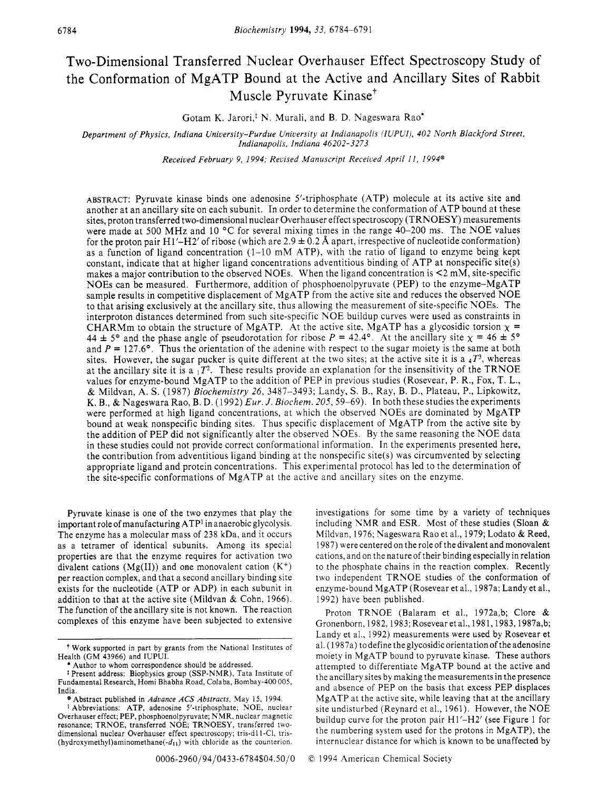# Two-Dimensional Transferred Nuclear Overhauser Effect Spectroscopy Study of the Conformation of MgATP Bound at the Active and Ancillary Sites of Rabbit Muscle Pyruvate Kinase'

Gotam K. Jarori,\* N. Murali, and B. D. Nageswara Rao'

*Department* of *Physics, Indiana University-Purdue University at Indianapolis (IUPUI}, 402 North Blackford Street, Indianapolis, Indiana 46202-3273* 

*Received February 9, 1994; Reuised Manuscript Receiued April 11, 1994@* 

ABSTRACT: Pyruvate kinase binds one adenosine 5'-triphosphate (ATP) molecule at its active site and another at an ancillary site on each subunit. In order to determine the conformation of ATP bound at these sites, proton transferred two-dimensional nuclear Overhauser effect spectroscopy (TRNOESY) measurements were made at 500 MHz and 10 *"C* for several mixing times in the range 40-200 ms. The NOE values for the proton pair H1'-H2' of ribose (which are  $2.9 \pm 0.2$  Å apart, irrespective of nucleotide conformation) as a function of ligand concentration  $(1-10 \text{ mM ATP})$ , with the ratio of ligand to enzyme being kept constant, indicate that at higher ligand concentrations adventitious binding of ATP at nonspecific site(s) makes a major contribution to the observed NOEs. When the ligand concentration is  $\leq 2$  mM, site-specific NOES can be measured. Furthermore, addition of phosphoenolpyruvate (PEP) to the enzyme-MgATP sample results in competitive displacement of MgATP from the active site and reduces the observed NOE to that arising exclusively at the ancillary site, thus allowing the measurement of site-specific NOEs. The interproton distances determined from such site-specific NOE buildup curves were used as constraints in CHARMm to obtain the structure of MgATP. At the active site, MgATP has a glycosidic torsion  $x =$ 44  $\pm$  5° and the phase angle of pseudorotation for ribose *P* = 42.4°. At the ancillary site  $\chi$  = 46  $\pm$  5° and  $P = 127.6$ °. Thus the orientation of the adenine with respect to the sugar moiety is the same at both sites. However, the sugar pucker is quite different at the two sites; at the active site it is a *4T3,* whereas at the ancillary site it is a  $P^2$ . These results provide an explanation for the insensitivity of the TRNOE values for enzyme-bound MgATP to the addition of PEP in previous studies (Rosevear, P. R., Fox, T. L., & Mildvan, A. **S.** (1987) *Biochemistry* 26, 3487-3493; Landy, **S.** B., Ray, B. D., Plateau, P., Lipkowitz, K. B., & Nageswara Rao, B. D. (1 992) *Eur. J. Biochem.* 205,59-69). In both these studies the experiments were performed at high ligand concentrations, at which the observed NOEs are dominated by MgATP bound at weak nonspecific binding sites. Thus specific displacement of MgATP from the active site by the addition of PEP did not significantly alter the observed hOEs. By the same reasoning the NOE data in these studies could not provide correct conformational information. In the experiments presented here, the contribution from adventitious ligand binding at the nonspecific site(s) was circumvented by selecting appropriate ligand and protein concentrations. This experimental protocol has led to the determination of the site-specific conformations of MgATP at the active and ancillary sites on the enzyme.

Pyruvate kinase is one of the two enzymes that play the important role of manufacturing ATP' in anaerobic glycolysis. The enzyme has a molecular mass of 238 kDa, and it occurs as a tetramer of identical subunits. Among its special properties are that the enzyme requires for activation two divalent cations (Mg(II)) and one monovalent cation  $(K^+)$ per reaction complex, and that a second ancillary binding site exists for the nucleotide (ATP or ADP) in each subunit in addition to that at the active site (Mildvan & Cohn, 1966). The function of the ancillary site is not known. The reaction complexes of this enzyme have been subjected to extensive

investigations for some time by a variety of techniques including NMR and ESR. Most of these studies (Sloan & Mildvan, 1976; Nageswara Rao et al., 1979; Lodato & Reed, 1987) were centered on the role of the divalent and monovalent cations, and on the nature of their binding especially in relation to the phosphate chains in the reaction complex. Recently two independent TRNOE studies of the conformation of enzyme-bound MgATP (Rosevear et al., 1987a; Landy et al., 1992) have been published.

Proton TRNOE (Balaram et al., 1972a,b; Clore & Gronenborn, 1982,1983; Rosevear et al., l981,1983,1987a,b; Landy et al., 1992) measurements were used by Rosevear et al. (1 987a) to define the glycosidic orientation of the adenosine moiety in MgATP bound to pyruvate kinase. These authors attempted to differentiate MgATP bound at the active and the ancillary sites by making the measurements in the presence and absence of PEP on the basis that excess PEP displaces MgATP at the active site, while leaving that at the ancillary site undisturbed (Reynard et al., 1961). However, the NOE buildup curve for the proton pair  $H1'$ - $H2'$  (see Figure 1 for the numbering system used for the protons in MgATP), the internuclear distance for which is known to be unaffected by

**Work** supported in part by grants from the National Institutes of Health (GM 43966) and IUPUI.

<sup>\*</sup> Author to whom correspondence should be addressed.

<sup>&</sup>lt;sup>‡</sup> Present address: Biophysics group (SSP-NMR), Tata Institute of Fundamental Research, Homi Bhabha Road, Colaba, Bombay-400 005, India.

<sup>@</sup> Abstract published in *Adoance ACS Abstracts,* May 15, 1994.

Abbreviations: ATP, adenosine 5'-triphosphate; NOE, nuclear Overhauser effect; PEP, phosphoenolpyruvate; NMR, nuclear magnetic resonance; TRNOE, transferred NOE; TRNOESY, transferred twodimensional nuclear Overhauser effect spectroscopy; tris-d11-Cl, tris-(hydroxymethyl)aminomethane $(-d_{11})$  with chloride as the counterion.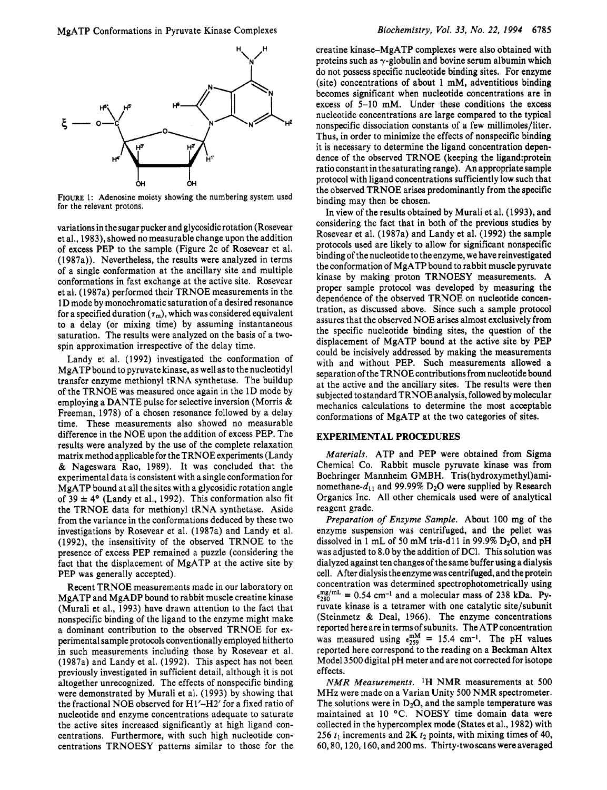

**FIGURE** 1: Adenosine moiety showing the numbering system used for the relevant protons.

variations in the sugar pucker and glycosidic rotation (Rosevear et al., 1983), showed no measurable change upon the addition of excess PEP to the sample (Figure 2c of Rosevear et al. (1987a)). Nevertheless, the results were analyzed in terms of a single conformation at the ancillary site and multiple conformations in fast exchange at the active site. Rosevear et al. (1987a) performed their TRNOE measurements in the 1 D mode by monochromatic saturation of a desired resonance for a specified duration  $(\tau_m)$ , which was considered equivalent to a delay (or mixing time) by assuming instantaneous saturation. The results were analyzed on the basis of a twospin approximation irrespective of the delay time.

Landy et al. (1992) investigated the conformation of MgATP bound to pyruvate kinase, as well as to the nucleotidyl transfer enzyme methionyl tRNA synthetase. The buildup of the TRNOE was measured once again in the 1D mode by employing a DANTE pulse for selective inversion (Morris & Freeman, 1978) of a chosen resonance followed by a delay time. These measurements also showed no measurable difference in the NOE upon the addition of excess PEP. The results were analyzed by the use of the complete relaxation matrix method applicable for the TRNOE experiments (Landy & Nageswara Rao, 1989). It was concluded that the experimental data is consistent with a single conformation for MgATP bound at all the sites with a glycosidic rotation angle of  $39 \pm 4^{\circ}$  (Landy et al., 1992). This conformation also fit the TRNOE data for methionyl tRNA synthetase. Aside from the variance in the conformations deduced by these two investigations by Rosevear et al. (1987a) and Landy et al. (1992), the insensitivity of the observed TRNOE to the presence of excess PEP remained a puzzle (considering the fact that the displacement of MgATP at the active site by PEP was generally accepted).

Recent TRNOE measurements made in our laboratory on MgATP and MgADP bound to rabbit muscle creatine kinase (Murali et al., 1993) have drawn attention to the fact that nonspecific binding of the ligand to the enzyme might make a dominant contribution to the observed TRNOE for experimental sample protocols conventionally employed hitherto in such measurements including those by Rosevear et al. (1987a) and Landy et al. (1992). This aspect has not been previously investigated in sufficient detail, although it is not altogether unrecognized. The effects of nonspecific binding were demonstrated by Murali et al. (1993) by showing that the fractional NOE observed for  $H1'$ - $H2'$  for a fixed ratio of nucleotide and enzyme concentrations adequate to saturate the active sites increased significantly at high ligand concentrations. Furthermore, with such high nucleotide concentrations TRNOESY patterns similar to those for the

creatine kinase–MgATP complexes were also obtained with proteins such as  $\gamma$ -globulin and bovine serum albumin which do not possess specific nucleotide binding sites. For enzyme (site) concentrations of about 1 mM, adventitious binding becomes significant when nucleotide concentrations are in excess of 5-10 mM. Under these conditions the excess nucleotide concentrations are large compared to the typical nonspecific dissociation constants of a few millimoles/liter. Thus, in order to minimize the effects of nonspecific binding it is necessary to determine the ligand concentration dependence of the observed TRNOE (keeping the ligand:protein ratio constant in the saturating range). An appropriate sample protocol with ligand concentrations sufficiently low such that the observed TRNOE arises predominantly from the specific binding may then be chosen.

In view of the results obtained by Murali et al. (1993), and considering the fact that in both of the previous studies by Rosevear et al. (1987a) and Landy et al. (1992) the sample protocols used are likely to allow for significant nonspecific binding of the nucleotide to the enzyme, we have reinvestigated the conformation of MgATP bound to rabbit muscle pyruvate kinase by making proton TRNOESY measurements. A proper sample protocol was developed by measuring the dependence of the observed TRNOE on nucleotide concentration, as discussed above. Since such a sample protocol assures that the observed NOE arises almost exclusively from the specific nucleotide binding sites, the question of the displacement of MgATP bound at the active site by PEP could be incisively addressed by making the measurements with and without PEP. Such measurements allowed a separation of the TRNOE contributions from nucleotide bound at the active and the ancillary sites. The results were then subjected to standard TRNOE analysis, followed by molecular mechanics calculations to determine the most acceptable conformations of MgATP at the two categories of sites.

#### **EXPERIMENTAL PROCEDURES**

*Materials.* ATP and PEP were obtained from Sigma Chemical Co. Rabbit muscle pyruvate kinase was from Boehringer Mannheim GMBH. Tris(hydroxymethy1)aminomethane- $d_{11}$  and 99.99% D<sub>2</sub>O were supplied by Research Organics Inc. All other chemicals used were of analytical reagent grade.

*Preparation of Enzyme Sample.* About 100 mg of the enzyme suspension was centrifuged, and the pellet was dissolved in 1 mL of 50 mM tris-d11 in 99.9%  $D_2O$ , and pH was adjusted to 8.0 by the addition of DCl. This solution was dialyzed against ten changes of the same buffer using a dialysis cell. After dialysis the enzyme was centrifuged, and the protein concentration was determined spectrophotometrically using  $\epsilon_{280}^{\text{mg/mL}} = 0.54 \text{ cm}^{-1}$  and a molecular mass of 238 kDa. Pyruvate kinase is a tetramer with one catalytic site/subunit (Steinmetz & Deal, 1966). The enzyme concentrations reported here are in terms of subunits. The ATP concentration was measured using  $\epsilon_{259}^{mM} = 15.4$  cm<sup>-1</sup>. The pH values reported here correspond to the reading on a Beckman Altex Model 3500 digital pH meter and are not corrected for isotope effects.

*NMR Measurements.* 'H NMR measurements at 500 MHz were made on a Varian Unity 500 NMR spectrometer. The solutions were in  $D_2O$ , and the sample temperature was maintained at 10 °C. NOESY time domain data were collected in the hypercomplex mode (States et al., 1982) with 256  $t_1$  increments and 2K  $t_2$  points, with mixing times of 40, 60,80,120,160, and 200 ms. Thirty-two scans were averaged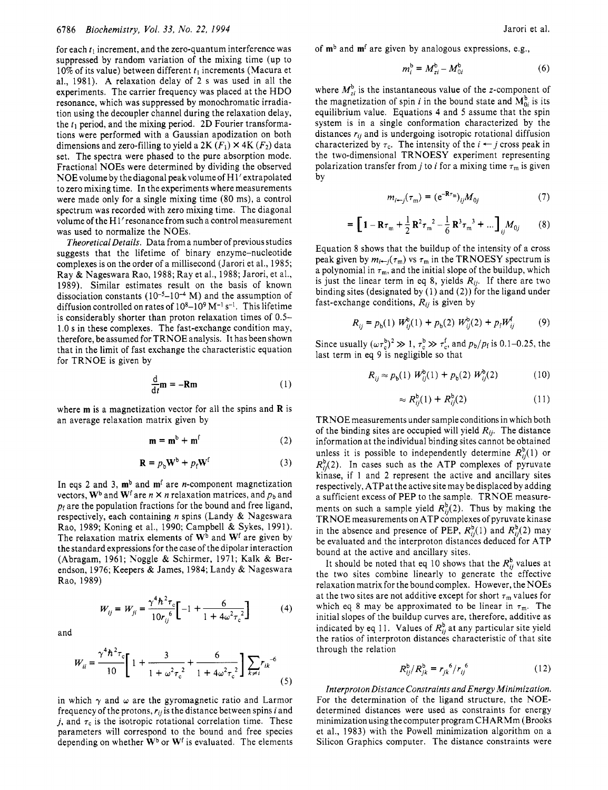for each  $t_1$  increment, and the zero-quantum interference was suppressed by random variation of the mixing time (up to 10% of its value) between different  $t_1$  increments (Macura et al., 1981). A relaxation delay of *2* s was used in all the experiments. The carrier frequency was placed at the HDO resonance, which was suppressed by monochromatic irradiation using the decoupler channel during the relaxation delay, the  $t_1$  period, and the mixing period. 2D Fourier transformations were performed with a Gaussian apodization on both dimensions and zero-filling to yield a 2K  $(F_1) \times 4K$   $(F_2)$  data set. The spectra were phased to the pure absorption mode. Fractional NOES were determined by dividing the observed NOEvolume by the diagonal peakvolumeof H l'extrapolated to zero mixing time. In the experiments where measurements were made only for a single mixing time (80 ms), a control spectrum was recorded with zero mixing time. The diagonal volume of the H 1' resonance from such a control measurement was used to normalize the NOES.

*Theoretical Details.* Data from a number of previous studies suggests that the lifetime of binary enzyme-nucleotide complexes is on the order of a millisecond (Jarori et al., 1985; Ray & Nageswara Rao, 1988; Ray et al., 1988; Jarori, et al., 1989). Similar estimates result on the basis of known dissociation constants  $(10^{-5}-10^{-4} \text{ M})$  and the assumption of diffusion controlled on rates of  $10^8-10^9$  M<sup>-1</sup> s<sup>-1</sup>. This lifetime is considerably shorter than proton relaxation times of 0.5- 1.0 s in these complexes. The fast-exchange condition may, therefore, be assumed for TRNOE analysis. It has been shown that in the limit of fast exchange the characteristic equation for TRNOE is given by

$$
\frac{\mathrm{d}}{\mathrm{d}t}\mathbf{m} = -\mathbf{R}\mathbf{m} \tag{1}
$$

where **m** is a magnetization vector for all the spins and **R** is an average relaxation matrix given by

$$
\mathbf{m} = \mathbf{m}^b + \mathbf{m}^f \tag{2}
$$

$$
\mathbf{R} = p_b \mathbf{W}^b + p_f \mathbf{W}^f \tag{3}
$$

In eqs 2 and 3,  $\mathbf{m}^b$  and  $\mathbf{m}^f$  are *n*-component magnetization vectors,  $W^b$  and  $W^f$  are  $n \times n$  relaxation matrices, and  $p_b$  and *pf* are the population fractions for the bound and free ligand, respectively, each containing *n* spins (Landy & Nageswara Rao, 1989; Koning et al., 1990; Campbell & Sykes, 1991). The relaxation matrix elements of **Wb** and Wf are given by the standard expressions for the case of the dipolar interaction (Abragam, 1961; Noggle & Schirmer, 1971; Kalk & Berendson, 1976; Keepers & James, 1984; Landy & Nageswara Rao, 1989) tion matrix elements of W<sup>b</sup> and W<sup>f</sup> are given by<br>dexpressions for the case of the dipolar interaction<br>1961; Noggle & Schirmer, 1971; Kalk & Ber-<br>76; Keepers & James, 1984; Landy & Nageswara<br> $W_{ij} = W_{ji} = \frac{\gamma^4 h^2 \tau_c}{10 r_{ij$ 

$$
W_{ij} = W_{ji} = \frac{\gamma^4 h^2 \tau_c}{10 r_{ij}^6} \left[ -1 + \frac{6}{1 + 4\omega^2 \tau_c^2} \right]
$$
 (4)

and

$$
W_{ij} = W_{ji} = \frac{\gamma^4 h^2 \tau_c}{10 r_{ij}^6} \left[ -1 + \frac{6}{1 + 4\omega^2 \tau_c^2} \right] \tag{4}
$$
  

$$
W_{ii} = \frac{\gamma^4 h^2 \tau_c}{10} \left[ 1 + \frac{3}{1 + \omega^2 \tau_c^2} + \frac{6}{1 + 4\omega^2 \tau_c^2} \right] \sum_{k \neq i} r_{ik}^{-6} \tag{5}
$$

in which  $\gamma$  and  $\omega$  are the gyromagnetic ratio and Larmor frequency of the protons, *rij* is the distance between spins *i* and *j*, and  $\tau_c$  is the isotropic rotational correlation time. These parameters will correspond to the bound and free species depending on whether **Wb** or **Wf** is evaluated. The elements

of **mb** and **mf** are given by analogous expressions, e.g.,

$$
m_i^{\mathrm{b}} = M_{zi}^{\mathrm{b}} - M_{0i}^{\mathrm{b}} \tag{6}
$$

where  $M_{zi}^{b}$  is the instantaneous value of the z-component of the magnetization of spin *i* in the bound state and  $M_{0i}^b$  is its equilibrium value. Equations **4** and 5 assume that the spin system is in a single conformation characterized by the distances *ri,* and is undergoing isotropic rotational diffusion characterized by  $\tau_c$ . The intensity of the *i*  $\leftarrow$  *j* cross peak in the two-dimensional TRNOESY experiment representing polarization transfer from *j* to *i* for a mixing time  $\tau_m$  is given by

$$
m_{i \leftarrow j}(\tau_m) = (e^{-\mathbf{R}\tau_m})_{ij} M_{0j} \tag{7}
$$

$$
= \left[1 - \mathbf{R}\tau_{m} + \frac{1}{2}\mathbf{R}^{2}\tau_{m}^{2} - \frac{1}{6}\mathbf{R}^{3}\tau_{m}^{3} + \dots\right]_{ij}M_{0j} \qquad (8)
$$

Equation 8 shows that the buildup of the intensity of a cross peak given by  $m_{i\leftarrow j}(\tau_m)$  vs  $\tau_m$  in the TRNOESY spectrum is a polynomial in  $\tau_m$ , and the initial slope of the buildup, which is just the linear term in eq 8, yields  $R_{ij}$ . If there are two binding sites (designated by (1) and (2)) for the ligand under fast-exchange conditions, *Rij* is given by

$$
R_{ij} = p_{b}(1) W_{ij}^{b}(1) + p_{b}(2) W_{ij}^{b}(2) + p_{f} W_{ij}^{f}
$$
 (9)

Since usually  $(\omega \tau_c^0)^2 \gg 1$ ,  $\tau_c^0 \gg \tau_c^1$ , and  $p_b/p_f$  is 0.1–0.25, the last term in eq 9 is negligible so that

$$
R_{ij} \approx p_{\rm b}(1) W_{ij}^{\rm b}(1) + p_{\rm b}(2) W_{ij}^{\rm b}(2) \tag{10}
$$

$$
\approx R_{ij}^b(1) + R_{ij}^b(2) \tag{11}
$$

TRNOE measurements under sample conditions in which both of the binding sites are occupied will yield *Ri,.* The distance information at the individual binding sites cannot be obtained unless it is possible to independently determine  $R_{ij}^{\text{b}}(1)$  or  $R_{ii}^{b}(2)$ . In cases such as the ATP complexes of pyruvate kinase, if 1 and 2 represent the active and ancillary sites respectively, ATP at the active site may be displaced by adding a sufficient excess of PEP to the sample. TRNOE measurements on such a sample yield  $R_{ii}^{b}(2)$ . Thus by making the TRNOE measurements on ATP complexes of pyruvate kinase in the absence and presence of PEP,  $R_{ii}^{b}(1)$  and  $R_{ii}^{b}(2)$  may be evaluated and the interproton distances deduced for ATP bound at the active and ancillary sites.

It should be noted that eq 10 shows that the  $R_{ij}^b$  values at the two sites combine linearly to generate the effective relaxation matrix for the bound complex. However, the NOES at the two sites are not additive except for short  $\tau_m$  values for which eq 8 may be approximated to be linear in  $\tau_m$ . The initial slopes of the buildup curves are, therefore, additive as indicated by eq 11. Values of  $R_{ij}^b$  at any particular site yield the ratios of interproton distances characteristic of that site through the relation

$$
R_{ij}^{\rm b}/R_{jk}^{\rm b} = r_{jk}^{\phantom{jk}6}/r_{ij}^{\phantom{jk}6} \tag{12}
$$

*Interproton Distance Constraints and Energy Minimization.*  For the determination of the ligand structure, the NOEdetermined distances were used as constraints for energy minimization using thecomputer program CHARMm (Brooks et al., 1983) with the Powell minimization algorithm on a Silicon Graphics computer. The distance constraints were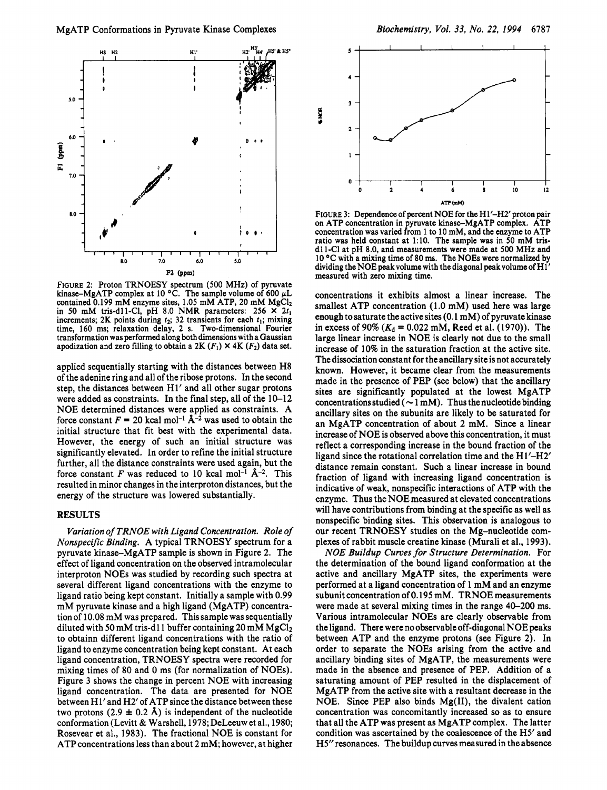

FIGURE 2: Proton TRNOESY spectrum (500 MHz) of pyruvate kinase-MgATP complex at 10 °C. The sample volume of 600  $\mu$ L contained 0.199 mM enzyme sites, 1.05 mM ATP, 20 mM  $MgCl<sub>2</sub>$ in 50 mM tris-dllC1, pH 8.0 NMR parameters: 256 **X** 2t, increments; 2K points during  $t_2$ ; 32 transients for each  $t_1$ ; mixing time, 160 ms; relaxation delay, 2 s. Two-dimensional Fourier transformation was performed along both dimensions with a Gaussian apodization and zero filling to obtain a 2K  $(F_1) \times 4K$   $(F_2)$  data set.

applied sequentially starting with the distances between H8 of the adenine ring and all of the ribose protons. In the second step, the distances between H1' and all other sugar protons were added as constraints. In the final step, all of the  $10-12$ NOE determined distances were applied as constraints. A force constant  $F = 20$  kcal mol<sup>-1</sup>  $\mathbf{A}^{-2}$  was used to obtain the initial structure that fit best with the experimental data. However, the energy of such an initial structure was significantly elevated. In order to refine the initial structure further, all the distance constraints were used again, but the force constant F was reduced to 10 kcal mol<sup>-1</sup>  $\AA$ <sup>-2</sup>. This resulted in minor changes in the interproton distances, but the energy of the structure was lowered substantially.

## **RESULTS**

*Variation of TRNOE with Ligand Concentration. Role of Nonspecific Binding.* A typical TRNOESY spectrum for a pyruvate kinase-MgATP sample is shown in Figure 2. The effect of ligand concentration on the observed intramolecular interproton NOEs was studied by recording such spectra at several different ligand concentrations with the enzyme to ligand ratio being kept constant. Initially a sample with 0.99 mM pyruvate kinase and a high ligand (MgATP) concentration of 10.08 mM was prepared. This sample was sequentially diluted with 50 mM tris-d11 buffer containing 20 mM  $MgCl<sub>2</sub>$ to obtainn different ligand concentrations with the ratio of ligand to enzyme concentration being kept constant. At each ligand concentration, TRNOESY spectra were recorded for mixing times of 80 and 0 ms (for normalization of NOEs). Figure 3 shows the change in percent NOE with increasing ligand concentration. The data are presented for NOE between H1' and H2' of ATP since the distance between these two protons  $(2.9 \pm 0.2 \text{ Å})$  is independent of the nucleotide conformation (Levitt & Warshell, 1978; DeLeeuw et al., 1980; Rosevear et al., 1983). The fractional NOE is constant for ATP concentrations less than about 2 mM; however, at higher



FIGURE 3: Dependence of percent NOE for the H1'-H2' proton pair on ATP concentration in pyruvate kinase-MgATP complex. ATP concentration was varied from 1 to 10 mM, and the enzyme to ATP ratio was held constant at 1:lO. The sample was in 50 mM trisd11-Cl at pH 8.0, and measurements were made at 500 MHz and  $10^{\circ}$ C with a mixing time of 80 ms. The NOEs were normalized by dividing the NOE peak volume with the diagonal peak volume of H1<sup>'</sup> measured with zero mixing time.

concentrations it exhibits almost a linear increase. The smallest ATP concentration (1.0 mM) used here was large enough to saturate the active sites (0.1 mM) of pyruvate kinase in excess of 90% ( $K_d = 0.022$  mM, Reed et al. (1970)). The large linear increase in NOE is clearly not due to the small increase of 10% in the saturation fraction at the active site. The dissociation constant for the ancillary site is not accurately known. However, it became clear from the measurements made in the presence of PEP (see below) that the ancillary sites are significantly populated at the lowest MgATP concentrations studied ( $\sim$  1 mM). Thus the nucleotide binding ancillary sites on the subunits are likely to be saturated for an MgATP concentration of about 2 mM. Since a linear increase of NOE is observed above this concentration, it must reflect a corresponding increase in the bound fraction of the ligand since the rotational correlation time and the Hl'-H2' distance remain constant. Such a linear increase in bound fraction of ligand with increasing ligand concentration is indicative of weak, nonspecific interactions of ATP with the enzyme. Thus the NOE measured at elevated concentrations will have contributions from binding at the specific as well as nonspecific binding sites. This observation is analogous to our recent TRNOESY studies on the Mg-nucleotide complexes of rabbit muscle creatine kinase (Murali et al., 1993).

*NOE Buildup Curves for Structure Determination.* For the determination of the bound ligand conformation at the active and ancillary MgATP sites, the experiments were performed at a ligand concentration of 1 mM and an enzyme subunit concentration of 0.195 mM. TRNOE measurements were made at several mixing times in the range 40-200 ms. Various intramolecular NOEs are clearly observable from the ligand. There were no observable off-diagonal NOE peaks between ATP and the enzyme protons (see Figure 2). In order to separate the NOEs arising from the active and ancillary binding sites of MgATP, the measurements were made in the absence and presence of PEP. Addition of a saturating amount of PEP resulted in the displacement of MgATP from the active site with a resultant decrease in the NOE. Since PEP also binds Mg(II), the divalent cation concentration was concomitantly increased **so** as to ensure that all the ATP was present as MgATP complex. The latter condition was ascertained by the coalescence of the H5' and H5" resonances. The buildup curves measured in the absence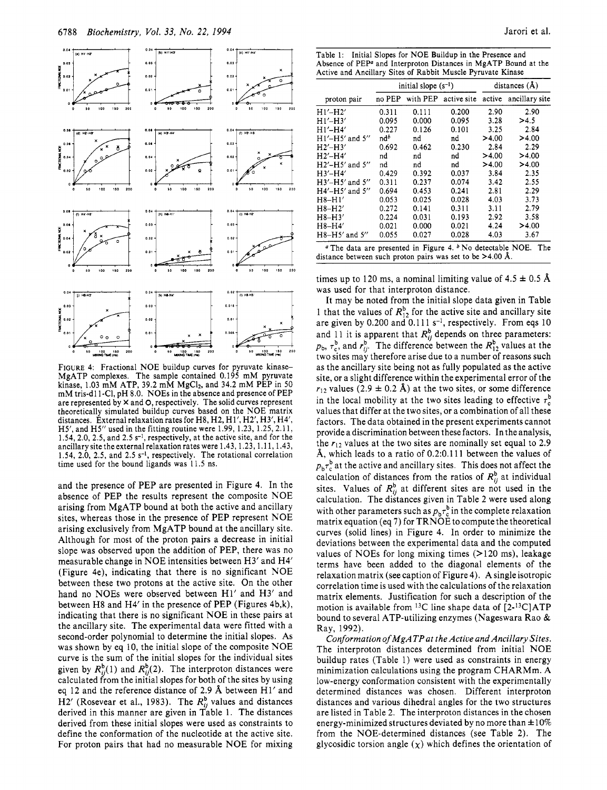

FIGURE 4: Fractional NOE buildup curves for pyruvate kinase-MgATP complexes. The sample contained 0.195 mM pyruvate kinase, 1.03 mM ATP, 39.2 mM  $MgCl<sub>2</sub>$ , and 34.2 mM PEP in 50 mM tris-d11-Cl, pH 8.0. NOEs in the absence and presence of PEP are represented by  $\times$  and  $\circ$ , respectively. The solid curves represent theoretically simulated buildup curves based on the NOE matrix distances. External relaxation rates for H8, H2, Hl', H2', H3', H4', H5', and H5" used in the fitting routine were 1.99, 1.23, 1.25,2.11, 1.54, 2.0, 2.5, and  $2.5 s<sup>-1</sup>$ , respectively, at the active site, and for the ancillary site the external relaxation rates were 1.43,1.23,1.11,1.43, 1.54, 2.0, 2.5, and 2.5 s-I, respectively. The rotational correlation time used for the bound ligands was 11.5 ns.

and the presence of PEP are presented in Figure 4. In the absence of PEP the results represent the composite NOE arising from MgATP bound at both the active and ancillary sites, whereas those in the presence of PEP represent NOE arising exclusively from MgATP bound at the ancillary site. Although for most of the proton pairs a decrease in initial slope was observed upon the addition of PEP, there was no measurable change in NOE intensities between H3' and H4' (Figure 4e), indicating that there is no significant NOE between these two protons at the active site. On the other hand no NOEs were observed between H1' and H3' and between H8 and H4' in the presence of PEP (Figures 4b,k), indicating that there is no significant NOE in these pairs at the ancillary site. The experimental data were fitted with a second-order polynomial to determine the initial slopes. As was shown by eq 10, the initial slope of the composite NOE curve is the sum of the initial slopes for the individual sites given by  $R_{ii}^{b}(1)$  and  $R_{ii}^{b}(2)$ . The interproton distances were calculated from the initial slopes for both of the sites by using eq 12 and the reference distance of 2.9 **A** between H1' and H2' (Rosevear et al., 1983). The  $R_{ii}^{b}$  values and distances derived in this manner are given in Table 1. The distances derived from these initial slopes were used as constraints to define the conformation of the nucleotide at the active site. For proton pairs that had no measurable NOE for mixing

Table 1: Initial Slopes for NOE Buildup in the Presence and Absence of PEP<sup>a</sup> and Interproton Distances in MgATP Bound at the Active and Ancillary Sites of Rabbit Muscle Pyruvate Kinase

| 1994                        |                                                                                                                                            |                                    |                          |                |               | Jarori et al.                                             |
|-----------------------------|--------------------------------------------------------------------------------------------------------------------------------------------|------------------------------------|--------------------------|----------------|---------------|-----------------------------------------------------------|
|                             |                                                                                                                                            |                                    |                          |                |               |                                                           |
| 0.04                        |                                                                                                                                            |                                    |                          |                |               |                                                           |
| (c) $H1'HE'$<br>$0.00 -$    | Table 1: Initial Slopes for NOE Buildup in the Presence and                                                                                |                                    |                          |                |               |                                                           |
| 0.02.                       | Absence of PEP <sup>a</sup> and Interproton Distances in MgATP Bound at the<br>Active and Ancillary Sites of Rabbit Muscle Pyruvate Kinase |                                    |                          |                |               |                                                           |
|                             |                                                                                                                                            |                                    | initial slope $(s^{-1})$ |                |               | distances $(\hat{A})$                                     |
| 0.01                        |                                                                                                                                            |                                    |                          |                |               |                                                           |
| 50 100 150 200<br>$\circ$   | proton pair<br>$H1'$ - $H2'$                                                                                                               | 0.311                              | 0.111                    | 0.200          | 2.90          | 2.90                                                      |
|                             | $H1'$ -H3'                                                                                                                                 | 0.095                              | 0.000                    | 0.095          | 3.28          | >4.5                                                      |
| $0.04 +$<br>$(1)$ Han-Han   | $H1'$ -H4'                                                                                                                                 | 0.227                              | 0.126                    | 0.101          | 3.25          | no PEP with PEP active site active ancillary site<br>2.84 |
| $0.00 -$                    | $H1'$ – $H5'$ and $5''$<br>$H2'$ -H3'                                                                                                      | $\mathbf{n} \mathbf{d}^b$<br>0.692 | nd<br>0.462              | nd<br>0.230    | >4.00<br>2.84 | >4.00<br>2.29                                             |
| 0.02                        | $H2'$ -H4'                                                                                                                                 | nd                                 | nd                       | nd             | >4.00         | >4.00                                                     |
| 0.01                        | H2'-H5' and 5"                                                                                                                             | nd                                 | nd                       | nd             | >4.00         | >4.00                                                     |
|                             | $H3'$ -H4'<br>$H3'$ -H5' and 5"                                                                                                            | 0.429<br>0.311                     | 0.392<br>0.237           | 0.037<br>0.074 | 3.84<br>3.42  | 2.35<br>2.55                                              |
| 50 100 150 200<br>$\bullet$ | H4'-H5' and 5"                                                                                                                             | 0.694                              | 0.453                    | 0.241          | 2.81          | 2.29                                                      |
|                             | $H8-H1'$                                                                                                                                   | 0.053                              | 0.025                    | 0.028          | 4.03          | 3.73                                                      |
| 0.04<br>$(1)$ H8-H2         | $H8-H2'$<br>$H8-H3'$                                                                                                                       | 0.272<br>0.224                     | 0.141<br>0.031           | 0.311<br>0.193 | 3.11<br>2.92  | 2.79<br>3.58                                              |
| $0.03 -$                    | $H8-H4'$                                                                                                                                   | 0.021                              | 0.000                    | 0.021          | 4.24          | >4.00                                                     |
| $0.02 -$                    | H8-H5 $^{\prime}$ and 5 $^{\prime\prime}$<br>$a$ The data are presented in Figure 4. $b$ No detectable NOE. The                            | 0.055                              | 0.027                    | 0.028          | 4.03          | 3.67                                                      |

times up to 120 ms, a nominal limiting value of  $4.5 \pm 0.5$  Å was used for that interproton distance.

It may be noted from the initial slope data given in Table 1 that the values of  $R_{12}^{b}$  for the active site and ancillary site are given by 0.200 and 0.111 s<sup>-1</sup>, respectively. From eqs 10 and 11 it is apparent that  $R_{ij}^b$  depends on three parameters:  $p_{\rm b}$ ,  $\tau_{\rm c}^{\rm b}$ , and  $r_{ii}^{\rm b}$ . The difference between the  $R_{12}^{\rm b}$  values at the two sites may therefore arise due to a number of reasons such as the ancillary site being not as fully populated as the active site, or a slight difference within the experimental error of the  $r_{12}$  values (2.9  $\pm$  0.2 Å) at the two sites, or some difference in the local mobility at the two sites leading to effective  $\tau_c^b$ values that differ at the two sites, or a combination of all these factors. The data obtained in the present experiments cannot provide a discrimination between these factors. In the analysis, the *r12* values at the two sites are nominally set equal to 2.9 **A,** which leads to a ratio of 0.2:O.lll between the values of  $p_b \tau_c^b$  at the active and ancillary sites. This does not affect the calculation of distances from the ratios of  $R_{ij}^b$  at individual sites. Values of  $R_{ij}^{\text{b}}$  at different sites are not used in the calculation. The distances given in Table 2 were used along with other parameters such as  $p_b \tau_c^b$  in the complete relaxation matrix equation (eq **7)** for TRNOE to compute the theoretical curves (solid lines) in Figure **4.** In order to minimize the deviations between the experimental data and the computed values of NOEs for long mixing times  $(>120 \text{ ms})$ , leakage terms have been added to the diagonal elements of the relaxation matrix (see caption of Figure 4). A single isotropic correlation time is used with the calculations of the relaxation matrix elements. Justification for such a description of the motion is available from 13C line shape data of [2-13C]ATP bound to several ATP-utilizing enzymes (Nageswara Rao & Ray, 1992).

*Conformation* of *MgATPat the Active and Ancillary Sites.*  The interproton distances determined from initial NOE buildup rates (Table 1) were used as constraints in energy minimization calculations using the program CHARMm. A low-energy conformation consistent with the experimentally determined distances was chosen. Different interproton distances and various dihedral angles for the two structures are listed in Table *2.* The interproton distances in the chosen energy-minimized structures deviated by no more than  $\pm 10\%$ from the NOE-determined distances (see Table 2). The glycosidic torsion angle  $(\chi)$  which defines the orientation of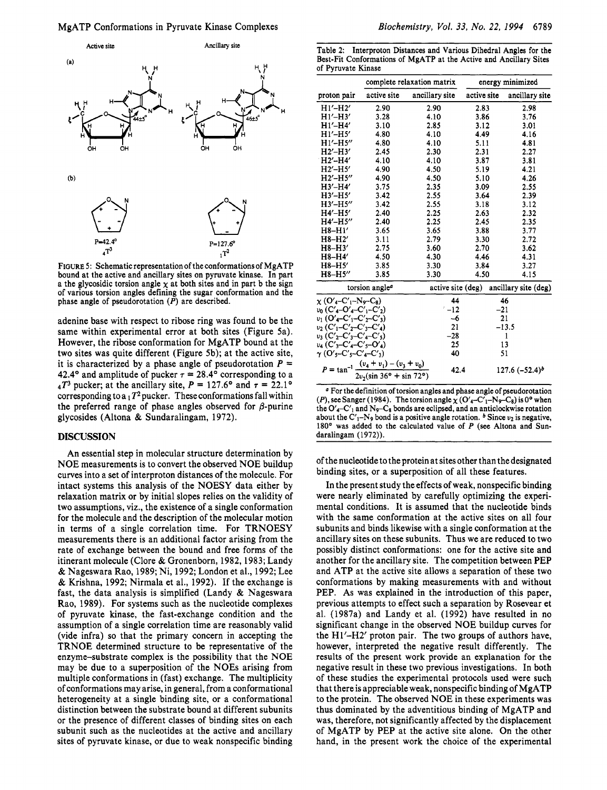

FIGURE *5:* Schematic representation of the conformations of MgATP bound at the active and ancillary sites on pyruvate kinase. In part a the glycosidic torsion angle  $\chi$  at both sites and in part b the sign of various torsion angles defining the sugar conformation and the phase angle of pseudorotation *(P)* are described.

adenine base with respect to ribose ring was found to be the same within experimental error at both sites (Figure 5a). However, the ribose conformation for MgATP bound at the two sites was quite different (Figure 5b); at the active site, it is characterized by a phase angle of pseudorotation  $P =$ 42.4° and amplitude of pucker  $\tau = 28.4$ ° corresponding to a  $_{4}T^{3}$  pucker; at the ancillary site,  $P = 127.6^{\circ}$  and  $\tau = 22.1^{\circ}$ corresponding to a  $1 T^2$  pucker. These conformations fall within the preferred range of phase angles observed for  $\beta$ -purine glycosides (Altona & Sundaralingam, 1972).

### **DISCUSSION**

An essential step in molecular structure determination by NOE measurements is to convert the observed NOE buildup curves into a set of interproton distances of the molecule. For intact systems this analysis of the NOESY data either by relaxation matrix or by initial slopes relies on the validity of two assumptions, viz., the existence of a single conformation for the molecule and the description of the molecular motion in terms of a single correlation time. For TRNOESY measurements there is an additional factor arising from the rate of exchange between the bound and free forms of the itinerant molecule (Clore & Gronenborn, 1982,1983; Landy & Nageswara Rao, 1989; Ni, 1992; London et al., 1992; Lee & Krishna, 1992; Nirmala et al., 1992). If the exchange is fast, the data analysis is simplified (Landy & Nageswara Rao, 1989). For systems such as the nucleotide complexes of pyruvate kinase, the fast-exchange condition and the assumption of a single correlation time are reasonably valid (vide infra) so that the primary concern in accepting the TRNOE determined structure to be representative of the enzyme-substrate complex is the possibility that the NOE may be due to a superposition of the NOES arising from multiple conformations in (fast) exchange. The multiplicity of conformations may arise, in general, from a conformational heterogeneity at a single binding site, or a conformational distinction between the substrate bound at different subunits or the presence of different classes of binding sites on each subunit such as the nucleotides at the active and ancillary sites of pyruvate kinase, or due to weak nonspecific binding

Table 2: Interproton Distances and Various Dihedral Angles for the Best-Fit Conformations of MgATP at the Active and Ancillary Sites of Pyruvate Kinase

|                                                                             |                                                                                       | complete relaxation matrix |                   | energy minimized |                      |  |
|-----------------------------------------------------------------------------|---------------------------------------------------------------------------------------|----------------------------|-------------------|------------------|----------------------|--|
| proton pair                                                                 | active site                                                                           | ancillary site             | active site       |                  | ancillary site       |  |
| $H1'$ -H2'                                                                  | 2.90                                                                                  | 2.90                       | 2.83              |                  | 2.98                 |  |
| $H1'$ -H3'                                                                  | 3.28                                                                                  | 4.10                       | 3.86              |                  | 3.76                 |  |
| $H1'$ -H4'                                                                  | 3.10                                                                                  | 2.85                       | 3.12              |                  | 3.01                 |  |
| $H1'$ - $H5'$                                                               | 4.80                                                                                  | 4.10                       | 4.49              |                  | 4.16                 |  |
| $H1'$ - $H5''$                                                              | 4.80                                                                                  | 4.10                       | 5.11              |                  | 4.81                 |  |
| $H2'$ -H3'                                                                  | 2.45                                                                                  | 2.30                       | 2.31              |                  | 2.27                 |  |
| $H2'$ -H4'                                                                  | 4.10                                                                                  | 4.10                       | 3.87              |                  | 3.81                 |  |
| $H2'$ -H5'                                                                  | 4.90                                                                                  | 4.50                       | 5.19              |                  | 4.21                 |  |
| $H2'$ -H5"                                                                  | 4.90                                                                                  | 4.50                       | 5.10              |                  | 4.26                 |  |
| $H3'$ -H4'                                                                  | 3.75                                                                                  | 2.35                       | 3.09              |                  | 2.55                 |  |
| $H3'$ - $H5'$                                                               | 3.42                                                                                  | 2.55                       | 3.64              |                  | 2.39                 |  |
| $H3'$ - $H5''$                                                              | 3.42                                                                                  | 2.55                       | 3.18              |                  | 3.12                 |  |
| $H4'$ -H5'                                                                  | 2.40                                                                                  | 2.25                       | 2.63              |                  | 2.32                 |  |
| $H4'$ -H5"                                                                  | 2.40                                                                                  | 2.25                       | 2.45              |                  | 2.35                 |  |
| $H8-H1'$                                                                    | 3.65                                                                                  | 3.65                       | 3.88              |                  | 3.77                 |  |
| H8-H2'                                                                      | 3.11                                                                                  | 2.79                       | 3.30              |                  | 2.72                 |  |
| $H8-H3'$                                                                    | 2.75                                                                                  | 3.60                       | 2.70              |                  | 3.62                 |  |
| H8-H4'                                                                      | 4.50                                                                                  | 4.30                       | 4.46              |                  | 4.31                 |  |
| $H8-H5'$                                                                    | 3.85                                                                                  | 3.30                       | 3.84              |                  | 3.27                 |  |
| H8-H5"                                                                      | 3.85                                                                                  | 3.30                       | 4.50              |                  | 4.15                 |  |
|                                                                             | torsion angle <sup>a</sup>                                                            |                            | active site (deg) |                  | ancillary site (deg) |  |
| $\chi$ (O' <sub>4</sub> -C' <sub>1</sub> -N <sub>9</sub> -C <sub>8</sub> )  |                                                                                       |                            | 44                | 46               |                      |  |
| $v_0$ (C' <sub>4</sub> -O' <sub>4</sub> -C' <sub>1</sub> -C' <sub>2</sub> ) |                                                                                       | $-12$                      |                   | $-21$            |                      |  |
| $v_1$ (O'4–C' <sub>1</sub> –C' <sub>2</sub> –C' <sub>3</sub> )              |                                                                                       |                            | $-6$              | 21               |                      |  |
| $v_2(C'_1-C'_2-C'_3-C'_4)$                                                  |                                                                                       |                            | 21                | $-13.5$          |                      |  |
| $v_3$ (C' <sub>2</sub> -C' <sub>3</sub> -C' <sub>4</sub> -C' <sub>5</sub> ) |                                                                                       |                            | $-28$             | $\mathbf{1}$     |                      |  |
| $v_4$ (C' <sub>3</sub> -C' <sub>4</sub> -C' <sub>5</sub> -O' <sub>4</sub> ) |                                                                                       |                            | 25                | 13               |                      |  |
| $\gamma$ (O'5-C'5-C'4-C'3)                                                  |                                                                                       |                            | 40                | 51               |                      |  |
|                                                                             | $P = \tan^{-1} \frac{(v_4 + v_1) - (v_3 + v_0)}{2v_2(\sin 36^\circ + \sin 72^\circ)}$ |                            | 42.4              |                  | $127.6 (-52.4)^b$    |  |

For the definition of torsion angles and phase angle of pseudorotation  $(P)$ , see Sanger (1984). The torsion angle  $\chi$  (O'<sub>4</sub>-C'<sub>1</sub>-N<sub>9</sub>-C<sub>8</sub>) is 0° when the  $O'_{4}-C'_{1}$  and  $N_{9}-C_{8}$  bonds are eclipsed, and an anticlockwise rotation about the  $C'_1$ -N<sub>9</sub> bond is a positive angle rotation.  $\frac{b}{b}$  Since  $\nu_2$  is negative, 180' was added to the calculated value of *P* (see Altona and Sundaralingam (1972)).

of the nucleotide to the protein at sites other than the designated binding sites, or a superposition of all these features.

In the present study the effects of weak, nonspecific binding were nearly eliminated by carefully optimizing the experimental conditions. It is assumed that the nucleotide binds with the same conformation at the active sites on all four subunits and binds likewise with a single conformation at the ancillary sites on these subunits. Thus we are reduced to two possibly distinct conformations: one for the active site and another for the ancillary site. The competition between PEP and ATP at the active site allows a separation of these two conformations by making measurements with and without PEP. As was explained in the introduction of this paper, previous attempts to effect such a separation by Rosevear et al. (1987a) and Landy et al. (1992) have resulted in no significant change in the observed NOE buildup curves for the Hl'-H2' proton pair. The two groups of authors have, however, interpreted the negative result differently. The results of the present work provide an explanation for the negative result in these two previous investigations. In both of these studies the experimental protocols used were such that there is appreciable weak, nonspecific binding of MgATP to the protein. The observed NOE in these experiments was thus dominated by the adventitious binding of MgATP and was, therefore, not significantly affected by the displacement of MgATP by PEP at the active site alone. On the other hand, in the present work the choice of the experimental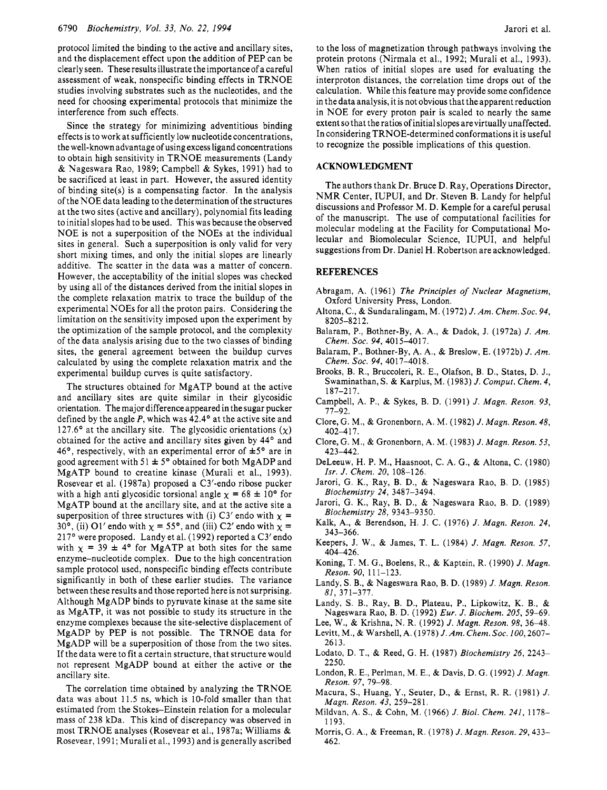protocol limited the binding to the active and ancillary sites, and the displacement effect upon the addition of PEP can be clearly seen. These results illustrate the importance of a careful assessment of weak, nonspecific binding effects in TRNOE studies involving substrates such as the nucleotides, and the need for choosing experimental protocols that minimize the interference from such effects.

Since the strategy for minimizing adventitious binding effects is to work at sufficiently low nucleotideconcentrations, the well-known advantage of using excess ligand concentrations to obtain high sensitivity in TRNOE measurements (Landy & Nageswara Rao, 1989; Campbell & Sykes, 1991) had to be sacrificed at least in part. However, the assured identity of binding site(s) is a compensating factor. In the analysis of the NOE data leading to the determination of the structures at the two sites (active and ancillary), polynomial fits leading to initial slopes had to be used. This was because the observed NOE is not a superposition of the NOEs at the individual sites in general. Such a superposition is only valid for very short mixing times, and only the initial slopes are linearly additive. The scatter in the data was a matter of concern. However, the acceptability of the initial slopes was checked by using all of the distances derived from the initial slopes in the complete relaxation matrix to trace the buildup of the experimental NOEs for all the proton pairs. Considering the limitation on the sensitivity imposed upon the experiment by the optimization of the sample protocol, and the complexity of the data analysis arising due to the two classes of binding sites, the general agreement between the buildup curves calculated by using the complete relaxation matrix and the experimental buildup curves is quite satisfactory.

The structures obtained for MgATP bound at the active and ancillary sites are quite similar in their glycosidic orientation. The major difference appeared in the sugar pucker defined by the angle P, which was 42.4° at the active site and 127.6° at the ancillary site. The glycosidic orientations  $(\chi)$ obtained for the active and ancillary sites given by 44° and 46°, respectively, with an experimental error of  $\pm 5$ ° are in good agreement with 51  $\pm$  5° obtained for both MgADP and MgATP bound to creatine kinase (Murali et al., 1993). Rosevear et al. (1987a) proposed a C3'-endo ribose pucker with a high anti glycosidic torsional angle  $\chi = 68 \pm 10^{\circ}$  for MgATP bound at the ancillary site, and at the active site a superposition of three structures with (i) C3' endo with  $\chi$  = 30°, (ii) O1' endo with  $\chi = 55$ °, and (iii) C2' endo with  $\chi =$ 217° were proposed. Landy et al. (1992) reported a C3' endo with  $\chi$  = 39  $\pm$  4° for MgATP at both sites for the same enzyme-nucleotide complex. Due to the high concentration sample protocol used, nonspecific binding effects contribute significantly in both of these earlier studies. The variance between these results and those reported here is not surprising. Although MgADP binds to pyruvate kinase at the same site as MgATP, it was not possible to study its structure in the enzyme complexes because the site-selective displacement of MgADP by PEP is not possible. The TRNOE data for MgADP will be a superposition of those from the two sites. If the data were to fit a certain structure, that structure would not represent MgADP bound at either the active or the ancillary site.

The correlation time obtained by analyzing the TRNOE data was about 11.5 ns, which is 10-fold smaller than that estimated from the Stokes-Einstein relation for a molecular mass of 238 kDa. This kind of discrepancy was observed in most TRNOE analyses (Rosevear et al., 1987a; Williams & Rosevear, 1991; Murali et al., 1993) and is generally ascribed to the loss of magnetization through pathways involving the protein protons (Nirmala et al., 1992; Murali et al., 1993). When ratios of initial slopes are used for evaluating the interproton distances, the correlation time drops out of the calculation. While this feature may provide some confidence in the data analysis, it is not obvious that the apparent reduction in NOE for every proton pair is scaled to nearly the same extent so that the ratios of initial slopes arevirtually unaffected. In considering TRNOE-determined conformations it is useful to recognize the possible implications of this question.

## **ACKNOWLEDGMENT**

The authors thank Dr. Bruce D. Ray, Operations Director, NMR Center, IUPUI, and Dr. Steven B. Landy for helpful discussions and Professor M. D. Kemple for a careful perusal of the manuscript. The use of computational facilities for molecular modeling at the Facility for Computational Molecular and Biomolecular Science, IUPUI, and helpful suggestions from Dr. Daniel H. Robertson are acknowledged.

## **REFERENCES**

- Abragam, A. (1961) *The Principles of Nuclear Magnetism,*  Oxford University Press, London.
- Altona, C., & Sundaralingam, M. (1972) *J. Am. Chem. SOC.* 94, 8205-8212.
- Balaram, P., Bothner-By, A. A., & Dadok, J. (1972a) *J. Am. Chem. SOC.* 94, 4015-4017.
- Balaram, P., Bothner-By, A. A,, & Breslow, E. (1972b) *J. Am. Chem. SOC.* 94, 4017-4018.
- Brooks, B. R., Bruccoleri, R. E., Olafson, B. D., States, D. J., Swaminathan, S. & Karplus, M. (1983) *J. Comput. Chem.* 4, 1 87-2 1 7.
- Campbell, A. P., & Sykes, B. D. (1991) *J. Magn. Reson.* 93, 77-92.
- Clore, G. M., & Gronenborn, A. M. (1982) *J. Magn. Reson.* 48, 402-417.
- Clore, G. M., & Gronenborn, A. M. (1983) *J. Magn. Reson.* 53, 423-442.
- DeLeeuw, H. P. M., Haasnoot, C. A. G., & Altona, C. (1980) *Isr. J. Chem.* 20, 108-126.
- Jarori, G. K., Ray, B. D., & Nageswara Rao, B. D. (1985) *Biochemistry* 24, 3487-3494.
- Jarori, G. K., Ray, B. D., & Nageswara Rao, B. D. (1989) *Biochemistry* 28, 9343-9350.
- Kalk, A., & Berendson, H. **J.** C. (1976) *J. Magn. Reson.* 24, 343-366.
- Keepers, J. **W.,** & James, **T. L.** (1984) *J. Magn. Reson.* 57, 404-426.
- Koning, T. M. G., Boelens, R., & Kaptein, R. (1990) *J. Magn. Reson.* 90, 11 1-123.
- Landy, S. B., & Nageswara Rao, B. D. (1989) *J. Mugn. Reson.*  81, 371-377.
- Landy, *S.* B., Ray, B. D., Plateau, **P.,** Lipkowitz, **K.** B., & Nageswara Rao, B. D. (1992) *Eur. J. Biochem.* 205, 59-69.
- Lee, **W.,** & Krishna, N. R. (1992) *J. Magn. Reson.* 98, 36-48.
- Levitt, M., & Warshell, A. (1978) *J. Am. Chem.Soc.* 100,2607- 2613.
- Lodato, D. T., & Reed, G. H. (1987) *Biochemistry* 26, 2243- 2250.
- London, R. E., Perlman, **M.** E., & Davis, D. G. (1 992) *J. Magn. Reson.* 97, 79-98.
- Macura, S., Huang, Y., Seuter, D., & Ernst, R. R. (1981) *J. Magn. Reson.* 43, 259-28 1.
- Mildvan, A. S., & Cohn, **M.** (1966) *J. Biol. Chem.* 241, 1178- 1193.
- Morris, G. A., & Freeman, R. (1978) *J. Magn. Reson.* 29,433- 462.